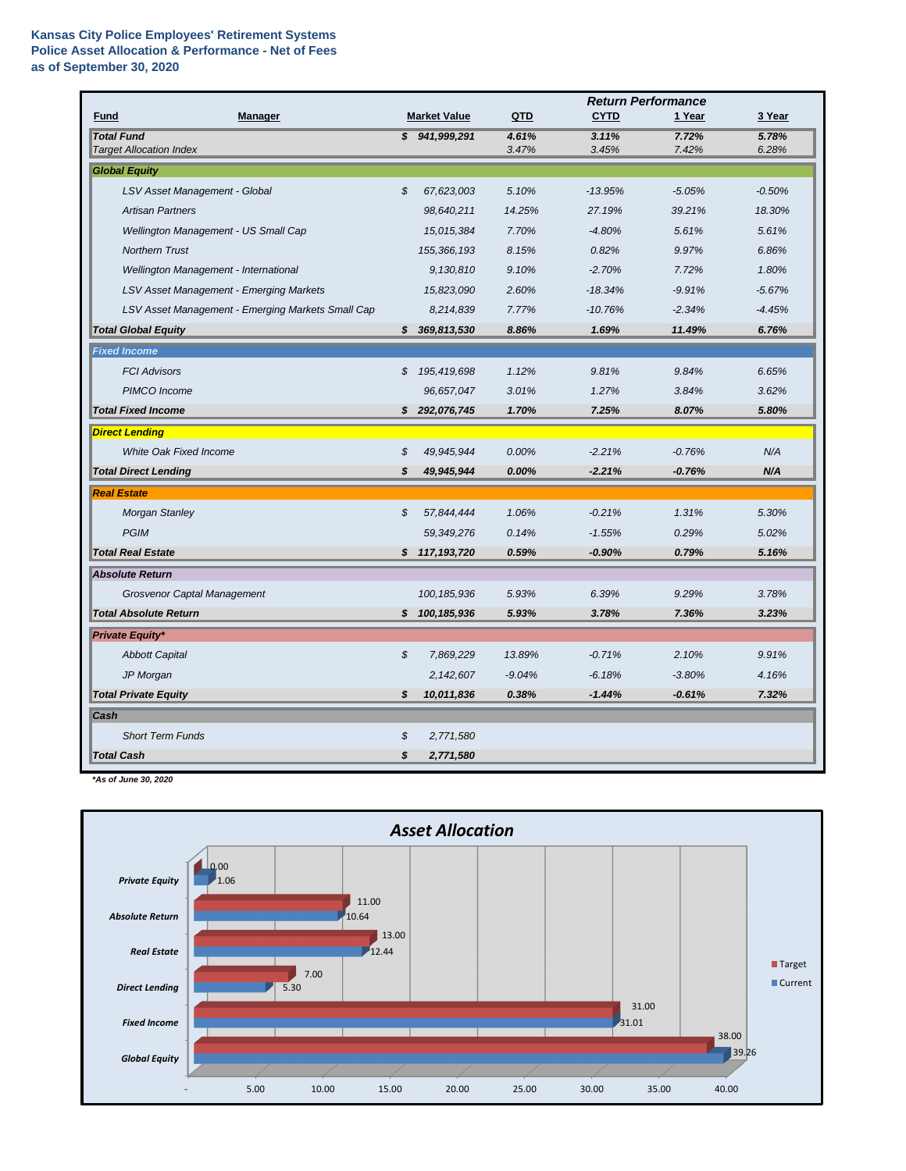|                                                     |                            |                     |                | <b>Return Performance</b> |                |                |  |  |
|-----------------------------------------------------|----------------------------|---------------------|----------------|---------------------------|----------------|----------------|--|--|
| <b>Manager</b><br><b>Fund</b>                       |                            | <b>Market Value</b> | QTD            | <b>CYTD</b>               | 1 Year         | 3 Year         |  |  |
| <b>Total Fund</b><br><b>Target Allocation Index</b> |                            | \$941,999,291       | 4.61%<br>3.47% | 3.11%<br>3.45%            | 7.72%<br>7.42% | 5.78%<br>6.28% |  |  |
| <b>Global Equity</b>                                |                            |                     |                |                           |                |                |  |  |
| LSV Asset Management - Global                       | $\boldsymbol{\mathcal{S}}$ | 67,623,003          | 5.10%          | $-13.95%$                 | $-5.05%$       | $-0.50%$       |  |  |
| <b>Artisan Partners</b>                             |                            | 98,640,211          | 14.25%         | 27.19%                    | 39.21%         | 18.30%         |  |  |
| Wellington Management - US Small Cap                |                            | 15,015,384          | 7.70%          | $-4.80%$                  | 5.61%          | 5.61%          |  |  |
| <b>Northern Trust</b>                               |                            | 155,366,193         | 8.15%          | 0.82%                     | 9.97%          | 6.86%          |  |  |
| Wellington Management - International               |                            | 9,130,810           | 9.10%          | $-2.70%$                  | 7.72%          | 1.80%          |  |  |
| <b>LSV Asset Management - Emerging Markets</b>      |                            | 15,823,090          | 2.60%          | $-18.34%$                 | $-9.91%$       | $-5.67%$       |  |  |
| LSV Asset Management - Emerging Markets Small Cap   |                            | 8,214,839           | 7.77%          | $-10.76%$                 | $-2.34%$       | $-4.45%$       |  |  |
| <b>Total Global Equity</b>                          | S                          | 369,813,530         | 8.86%          | 1.69%                     | 11.49%         | 6.76%          |  |  |
| <b>Fixed Income</b>                                 |                            |                     |                |                           |                |                |  |  |
| <b>FCI Advisors</b>                                 | \$                         | 195,419,698         | 1.12%          | 9.81%                     | 9.84%          | 6.65%          |  |  |
| PIMCO Income                                        |                            | 96,657,047          | 3.01%          | 1.27%                     | 3.84%          | 3.62%          |  |  |
| <b>Total Fixed Income</b>                           |                            | \$292,076,745       | 1.70%          | 7.25%                     | 8.07%          | 5.80%          |  |  |
| <b>Direct Lending</b>                               |                            |                     |                |                           |                |                |  |  |
| <b>White Oak Fixed Income</b>                       | \$                         | 49,945,944          | 0.00%          | $-2.21%$                  | $-0.76%$       | N/A            |  |  |
| <b>Total Direct Lending</b>                         | \$                         | 49,945,944          | 0.00%          | $-2.21%$                  | $-0.76%$       | N/A            |  |  |
| <b>Real Estate</b>                                  |                            |                     |                |                           |                |                |  |  |
| <b>Morgan Stanley</b>                               | \$                         | 57,844,444          | 1.06%          | $-0.21%$                  | 1.31%          | 5.30%          |  |  |
| <b>PGIM</b>                                         |                            | 59,349,276          | 0.14%          | $-1.55%$                  | 0.29%          | 5.02%          |  |  |
| <b>Total Real Estate</b>                            |                            | \$117,193,720       | 0.59%          | $-0.90%$                  | 0.79%          | 5.16%          |  |  |
| <b>Absolute Return</b>                              |                            |                     |                |                           |                |                |  |  |
| <b>Grosvenor Captal Management</b>                  |                            | 100, 185, 936       | 5.93%          | 6.39%                     | 9.29%          | 3.78%          |  |  |
| <b>Total Absolute Return</b>                        | S.                         | 100,185,936         | 5.93%          | 3.78%                     | 7.36%          | 3.23%          |  |  |
| <b>Private Equity*</b>                              |                            |                     |                |                           |                |                |  |  |
| <b>Abbott Capital</b>                               | \$                         | 7,869,229           | 13.89%         | $-0.71%$                  | 2.10%          | 9.91%          |  |  |
| JP Morgan                                           |                            | 2,142,607           | $-9.04%$       | $-6.18%$                  | $-3.80%$       | 4.16%          |  |  |
| <b>Total Private Equity</b>                         | \$                         | 10,011,836          | 0.38%          | $-1.44%$                  | $-0.61%$       | 7.32%          |  |  |
| <b>Cash</b>                                         |                            |                     |                |                           |                |                |  |  |
| <b>Short Term Funds</b>                             | \$                         | 2,771,580           |                |                           |                |                |  |  |
| <b>Total Cash</b>                                   | \$                         | 2,771,580           |                |                           |                |                |  |  |

*\*As of June 30, 2020*